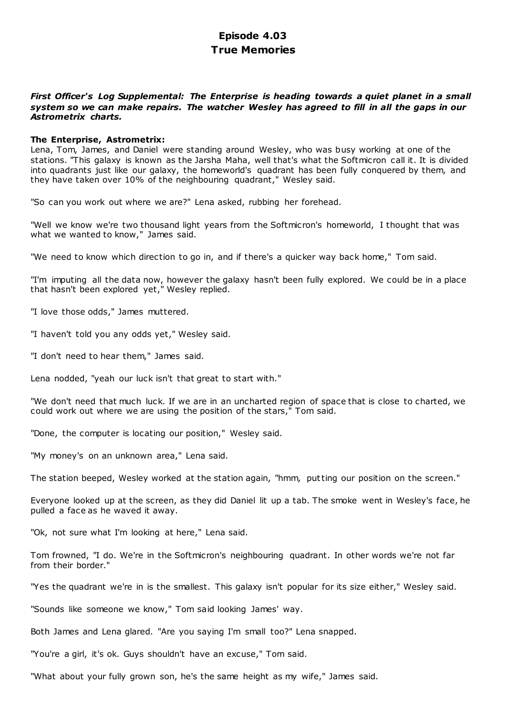# **Episode 4.03 True Memories**

# *First Officer's Log Supplemental: The Enterprise is heading towards a quiet planet in a small system so we can make repairs. The watcher Wesley has agreed to fill in all the gaps in our Astrometrix charts.*

## **The Enterprise, Astrometrix:**

Lena, Tom, James, and Daniel were standing around Wesley, who was busy working at one of the stations. "This galaxy is known as the Jarsha Maha, well that's what the Softmicron call it. It is divided into quadrants just like our galaxy, the homeworld's quadrant has been fully conquered by them, and they have taken over 10% of the neighbouring quadrant," Wesley said.

"So can you work out where we are?" Lena asked, rubbing her forehead.

"Well we know we're two thousand light years from the Softmicron's homeworld, I thought that was what we wanted to know," James said.

"We need to know which direction to go in, and if there's a quicker way back home," Tom said.

"I'm imputing all the data now, however the galaxy hasn't been fully explored. We could be in a place that hasn't been explored yet," Wesley replied.

"I love those odds," James muttered.

"I haven't told you any odds yet," Wesley said.

"I don't need to hear them," James said.

Lena nodded, "yeah our luck isn't that great to start with."

"We don't need that much luck. If we are in an uncharted region of space that is close to charted, we could work out where we are using the position of the stars," Tom said.

"Done, the computer is locating our position," Wesley said.

"My money's on an unknown area," Lena said.

The station beeped, Wesley worked at the station again, "hmm, putting our position on the screen."

Everyone looked up at the screen, as they did Daniel lit up a tab. The smoke went in Wesley's face, he pulled a face as he waved it away.

"Ok, not sure what I'm looking at here," Lena said.

Tom frowned, "I do. We're in the Softmicron's neighbouring quadrant. In other words we're not far from their border."

"Yes the quadrant we're in is the smallest. This galaxy isn't popular for its size either," Wesley said.

"Sounds like someone we know," Tom said looking James' way.

Both James and Lena glared. "Are you saying I'm small too?" Lena snapped.

"You're a girl, it's ok. Guys shouldn't have an excuse," Tom said.

"What about your fully grown son, he's the same height as my wife," James said.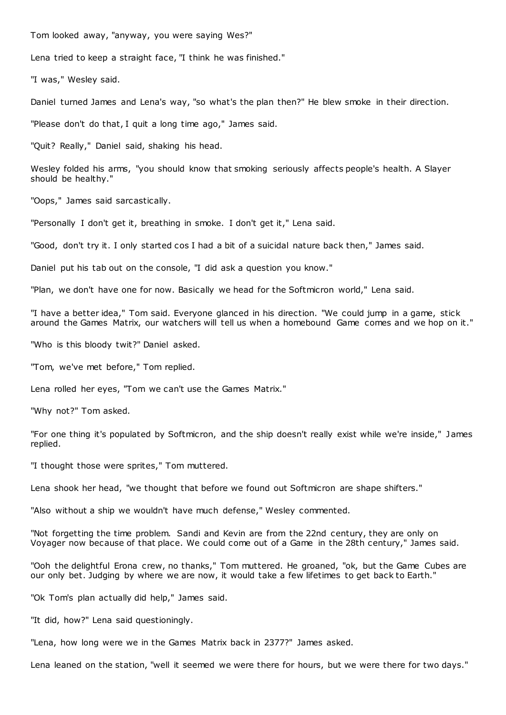Tom looked away, "anyway, you were saying Wes?"

Lena tried to keep a straight face, "I think he was finished."

"I was," Wesley said.

Daniel turned James and Lena's way, "so what's the plan then?" He blew smoke in their direction.

"Please don't do that, I quit a long time ago," James said.

"Quit? Really," Daniel said, shaking his head.

Wesley folded his arms, "you should know that smoking seriously affects people's health. A Slayer should be healthy."

"Oops," James said sarcastically.

"Personally I don't get it, breathing in smoke. I don't get it," Lena said.

"Good, don't try it. I only started cos I had a bit of a suicidal nature back then," James said.

Daniel put his tab out on the console, "I did ask a question you know."

"Plan, we don't have one for now. Basically we head for the Softmicron world," Lena said.

"I have a better idea," Tom said. Everyone glanced in his direction. "We could jump in a game, stick around the Games Matrix, our watchers will tell us when a homebound Game comes and we hop on it."

"Who is this bloody twit?" Daniel asked.

"Tom, we've met before," Tom replied.

Lena rolled her eyes, "Tom we can't use the Games Matrix."

"Why not?" Tom asked.

"For one thing it's populated by Softmicron, and the ship doesn't really exist while we're inside," James replied.

"I thought those were sprites," Tom muttered.

Lena shook her head, "we thought that before we found out Softmicron are shape shifters."

"Also without a ship we wouldn't have much defense," Wesley commented.

"Not forgetting the time problem. Sandi and Kevin are from the 22nd century, they are only on Voyager now because of that place. We could come out of a Game in the 28th century," James said.

"Ooh the delightful Erona crew, no thanks," Tom muttered. He groaned, "ok, but the Game Cubes are our only bet. Judging by where we are now, it would take a few lifetimes to get back to Earth."

"Ok Tom's plan actually did help," James said.

"It did, how?" Lena said questioningly.

"Lena, how long were we in the Games Matrix back in 2377?" James asked.

Lena leaned on the station, "well it seemed we were there for hours, but we were there for two days."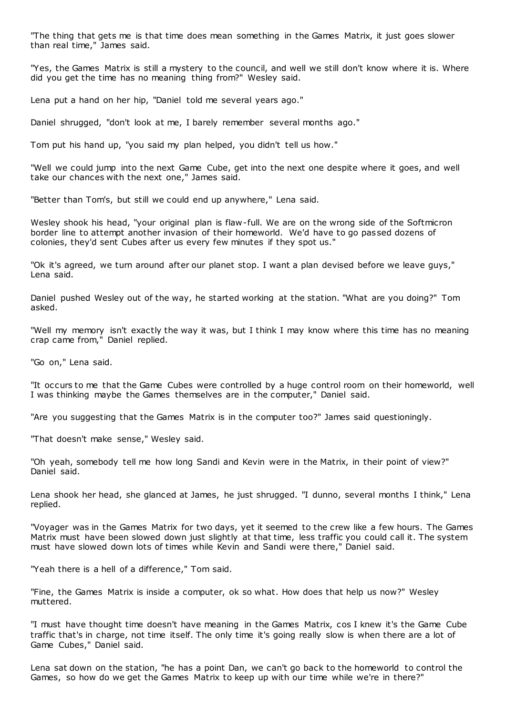"The thing that gets me is that time does mean something in the Games Matrix, it just goes slower than real time," James said.

"Yes, the Games Matrix is still a mystery to the council, and well we still don't know where it is. Where did you get the time has no meaning thing from?" Wesley said.

Lena put a hand on her hip, "Daniel told me several years ago."

Daniel shrugged, "don't look at me, I barely remember several months ago."

Tom put his hand up, "you said my plan helped, you didn't tell us how."

"Well we could jump into the next Game Cube, get into the next one despite where it goes, and well take our chances with the next one," James said.

"Better than Tom's, but still we could end up anywhere," Lena said.

Wesley shook his head, "your original plan is flaw-full. We are on the wrong side of the Softmicron border line to attempt another invasion of their homeworld. We'd have to go passed dozens of colonies, they'd sent Cubes after us every few minutes if they spot us."

"Ok it's agreed, we turn around after our planet stop. I want a plan devised before we leave guys," Lena said.

Daniel pushed Wesley out of the way, he started working at the station. "What are you doing?" Tom asked.

"Well my memory isn't exactly the way it was, but I think I may know where this time has no meaning crap came from," Daniel replied.

"Go on," Lena said.

"It occurs to me that the Game Cubes were controlled by a huge control room on their homeworld, well I was thinking maybe the Games themselves are in the computer," Daniel said.

"Are you suggesting that the Games Matrix is in the computer too?" James said questioningly.

"That doesn't make sense," Wesley said.

"Oh yeah, somebody tell me how long Sandi and Kevin were in the Matrix, in their point of view?" Daniel said.

Lena shook her head, she glanced at James, he just shrugged. "I dunno, several months I think," Lena replied.

"Voyager was in the Games Matrix for two days, yet it seemed to the crew like a few hours. The Games Matrix must have been slowed down just slightly at that time, less traffic you could call it. The system must have slowed down lots of times while Kevin and Sandi were there," Daniel said.

"Yeah there is a hell of a difference," Tom said.

"Fine, the Games Matrix is inside a computer, ok so what. How does that help us now?" Wesley muttered.

"I must have thought time doesn't have meaning in the Games Matrix, cos I knew it's the Game Cube traffic that's in charge, not time itself. The only time it's going really slow is when there are a lot of Game Cubes," Daniel said.

Lena sat down on the station, "he has a point Dan, we can't go back to the homeworld to control the Games, so how do we get the Games Matrix to keep up with our time while we're in there?"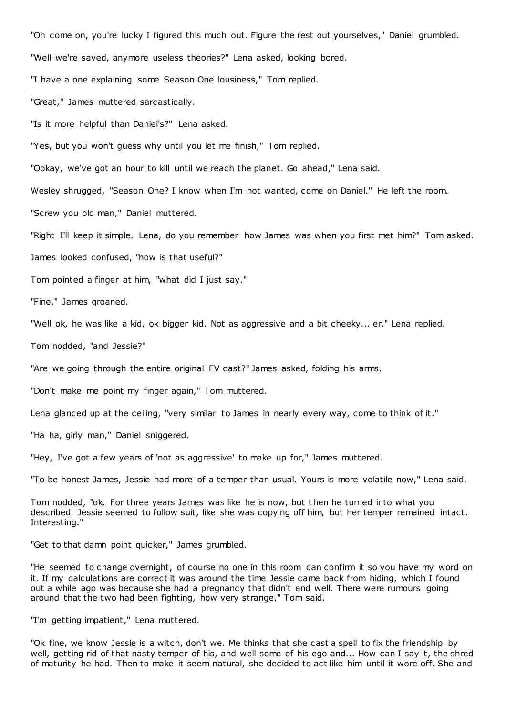"Oh come on, you're lucky I figured this much out. Figure the rest out yourselves," Daniel grumbled.

"Well we're saved, anymore useless theories?" Lena asked, looking bored.

"I have a one explaining some Season One lousiness," Tom replied.

"Great," James muttered sarcastically.

"Is it more helpful than Daniel's?" Lena asked.

"Yes, but you won't guess why until you let me finish," Tom replied.

"Ookay, we've got an hour to kill until we reach the planet. Go ahead," Lena said.

Wesley shrugged, "Season One? I know when I'm not wanted, come on Daniel." He left the room.

"Screw you old man," Daniel muttered.

"Right I'll keep it simple. Lena, do you remember how James was when you first met him?" Tom asked.

James looked confused, "how is that useful?"

Tom pointed a finger at him, "what did I just say."

"Fine," James groaned.

"Well ok, he was like a kid, ok bigger kid. Not as aggressive and a bit cheeky... er," Lena replied.

Tom nodded, "and Jessie?"

"Are we going through the entire original FV cast?" James asked, folding his arms.

"Don't make me point my finger again," Tom muttered.

Lena glanced up at the ceiling, "very similar to James in nearly every way, come to think of it."

"Ha ha, girly man," Daniel sniggered.

"Hey, I've got a few years of 'not as aggressive' to make up for," James muttered.

"To be honest James, Jessie had more of a temper than usual. Yours is more volatile now," Lena said.

Tom nodded, "ok. For three years James was like he is now, but then he turned into what you described. Jessie seemed to follow suit, like she was copying off him, but her temper remained intact. Interesting."

"Get to that damn point quicker," James grumbled.

"He seemed to change overnight, of course no one in this room can confirm it so you have my word on it. If my calculations are correct it was around the time Jessie came back from hiding, which I found out a while ago was because she had a pregnancy that didn't end well. There were rumours going around that the two had been fighting, how very strange," Tom said.

"I'm getting impatient," Lena muttered.

"Ok fine, we know Jessie is a witch, don't we. Me thinks that she cast a spell to fix the friendship by well, getting rid of that nasty temper of his, and well some of his ego and... How can I say it, the shred of maturity he had. Then to make it seem natural, she decided to act like him until it wore off. She and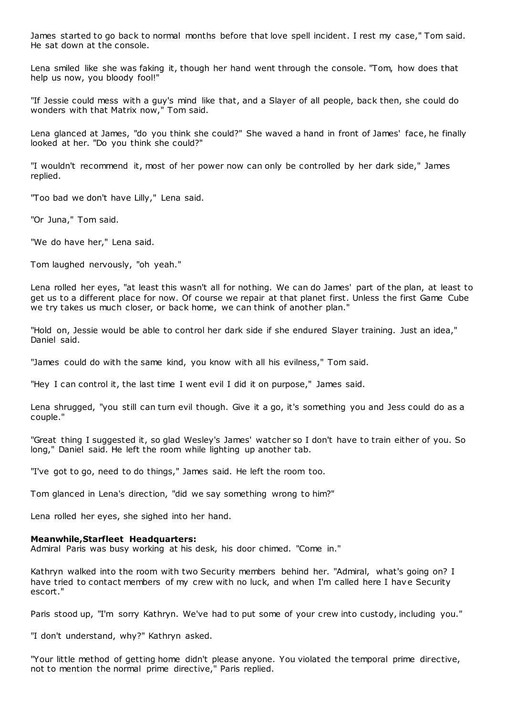James started to go back to normal months before that love spell incident. I rest my case," Tom said. He sat down at the console.

Lena smiled like she was faking it, though her hand went through the console. "Tom, how does that help us now, you bloody fool!"

"If Jessie could mess with a guy's mind like that, and a Slayer of all people, back then, she could do wonders with that Matrix now," Tom said.

Lena glanced at James, "do you think she could?" She waved a hand in front of James' face, he finally looked at her. "Do you think she could?"

"I wouldn't recommend it, most of her power now can only be controlled by her dark side," James replied.

"Too bad we don't have Lilly," Lena said.

"Or Juna," Tom said.

"We do have her," Lena said.

Tom laughed nervously, "oh yeah."

Lena rolled her eyes, "at least this wasn't all for nothing. We can do James' part of the plan, at least to get us to a different place for now. Of course we repair at that planet first. Unless the first Game Cube we try takes us much closer, or back home, we can think of another plan."

"Hold on, Jessie would be able to control her dark side if she endured Slayer training. Just an idea," Daniel said.

"James could do with the same kind, you know with all his evilness," Tom said.

"Hey I can control it, the last time I went evil I did it on purpose," James said.

Lena shrugged, "you still can turn evil though. Give it a go, it's something you and Jess could do as a couple."

"Great thing I suggested it, so glad Wesley's James' watcher so I don't have to train either of you. So long," Daniel said. He left the room while lighting up another tab.

"I've got to go, need to do things," James said. He left the room too.

Tom glanced in Lena's direction, "did we say something wrong to him?"

Lena rolled her eyes, she sighed into her hand.

### **Meanwhile,Starfleet Headquarters:**

Admiral Paris was busy working at his desk, his door chimed. "Come in."

Kathryn walked into the room with two Security members behind her. "Admiral, what's going on? I have tried to contact members of my crew with no luck, and when I'm called here I have Security escort."

Paris stood up, "I'm sorry Kathryn. We've had to put some of your crew into custody, including you."

"I don't understand, why?" Kathryn asked.

"Your little method of getting home didn't please anyone. You violated the temporal prime directive, not to mention the normal prime directive," Paris replied.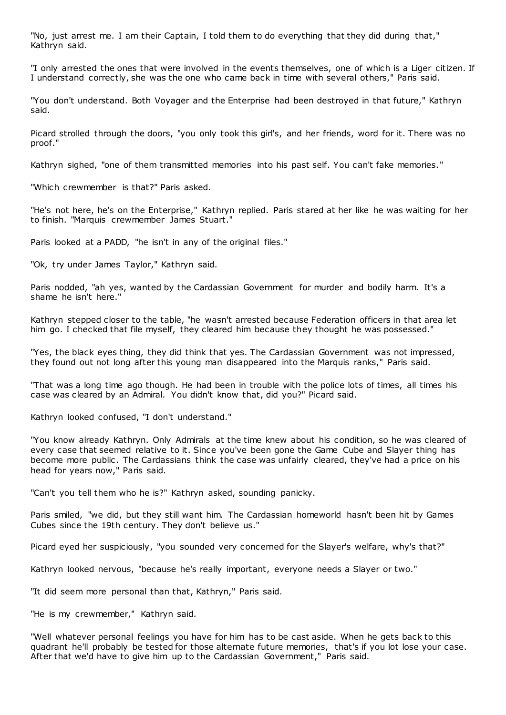"No, just arrest me. I am their Captain, I told them to do everything that they did during that," Kathryn said.

"I only arrested the ones that were involved in the events themselves, one of which is a Liger citizen. If I understand correctly, she was the one who came back in time with several others," Paris said.

"You don't understand. Both Voyager and the Enterprise had been destroyed in that future," Kathryn said.

Picard strolled through the doors, "you only took this girl's, and her friends, word for it. There was no proof."

Kathryn sighed, "one of them transmitted memories into his past self. You can't fake memories."

"Which crewmember is that?" Paris asked.

"He's not here, he's on the Enterprise," Kathryn replied. Paris stared at her like he was waiting for her to finish. "Marquis crewmember James Stuart."

Paris looked at a PADD, "he isn't in any of the original files."

"Ok, try under James Taylor," Kathryn said.

Paris nodded, "ah yes, wanted by the Cardassian Government for murder and bodily harm. It's a shame he isn't here."

Kathryn stepped closer to the table, "he wasn't arrested because Federation officers in that area let him go. I checked that file myself, they cleared him because they thought he was possessed."

"Yes, the black eyes thing, they did think that yes. The Cardassian Government was not impressed, they found out not long after this young man disappeared into the Marquis ranks," Paris said.

"That was a long time ago though. He had been in trouble with the police lots of times, all times his case was cleared by an Admiral. You didn't know that, did you?" Picard said.

Kathryn looked confused, "I don't understand."

"You know already Kathryn. Only Admirals at the time knew about his condition, so he was cleared of every case that seemed relative to it. Since you've been gone the Game Cube and Slayer thing has become more public . The Cardassians think the case was unfairly cleared, they've had a price on his head for years now," Paris said.

"Can't you tell them who he is?" Kathryn asked, sounding panicky.

Paris smiled, "we did, but they still want him. The Cardassian homeworld hasn't been hit by Games Cubes since the 19th century. They don't believe us."

Picard eyed her suspiciously, "you sounded very concerned for the Slayer's welfare, why's that?"

Kathryn looked nervous, "because he's really important, everyone needs a Slayer or two."

"It did seem more personal than that, Kathryn," Paris said.

"He is my crewmember," Kathryn said.

"Well whatever personal feelings you have for him has to be cast aside. When he gets back to this quadrant he'll probably be tested for those alternate future memories, that's if you lot lose your case. After that we'd have to give him up to the Cardassian Government," Paris said.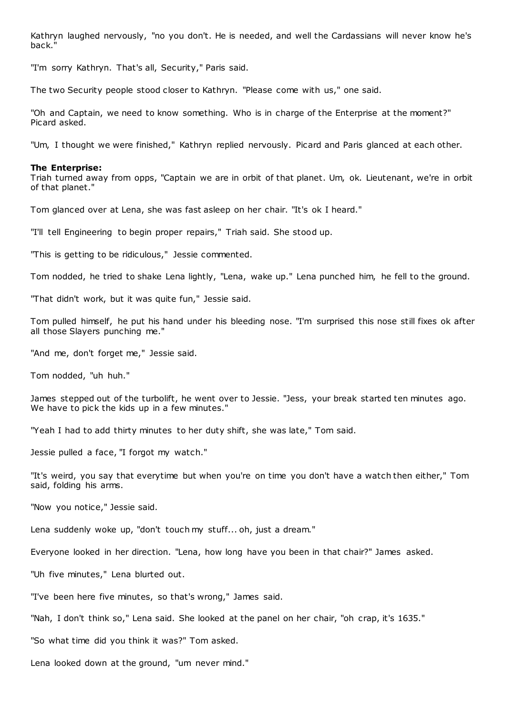Kathryn laughed nervously, "no you don't. He is needed, and well the Cardassians will never know he's back."

"I'm sorry Kathryn. That's all, Security," Paris said.

The two Security people stood closer to Kathryn. "Please come with us," one said.

"Oh and Captain, we need to know something. Who is in charge of the Enterprise at the moment?" Picard asked.

"Um, I thought we were finished," Kathryn replied nervously. Picard and Paris glanced at each other.

#### **The Enterprise:**

Triah turned away from opps, "Captain we are in orbit of that planet. Um, ok. Lieutenant, we're in orbit of that planet."

Tom glanced over at Lena, she was fast asleep on her chair. "It's ok I heard."

"I'll tell Engineering to begin proper repairs," Triah said. She stood up.

"This is getting to be ridiculous," Jessie commented.

Tom nodded, he tried to shake Lena lightly, "Lena, wake up." Lena punched him, he fell to the ground.

"That didn't work, but it was quite fun," Jessie said.

Tom pulled himself, he put his hand under his bleeding nose. "I'm surprised this nose still fixes ok after all those Slayers punching me."

"And me, don't forget me," Jessie said.

Tom nodded, "uh huh."

James stepped out of the turbolift, he went over to Jessie. "Jess, your break started ten minutes ago. We have to pick the kids up in a few minutes."

"Yeah I had to add thirty minutes to her duty shift, she was late," Tom said.

Jessie pulled a face, "I forgot my watch."

"It's weird, you say that everytime but when you're on time you don't have a watch then either," Tom said, folding his arms.

"Now you notice," Jessie said.

Lena suddenly woke up, "don't touch my stuff... oh, just a dream."

Everyone looked in her direction. "Lena, how long have you been in that chair?" James asked.

"Uh five minutes," Lena blurted out.

"I've been here five minutes, so that's wrong," James said.

"Nah, I don't think so," Lena said. She looked at the panel on her chair, "oh crap, it's 1635."

"So what time did you think it was?" Tom asked.

Lena looked down at the ground, "um never mind."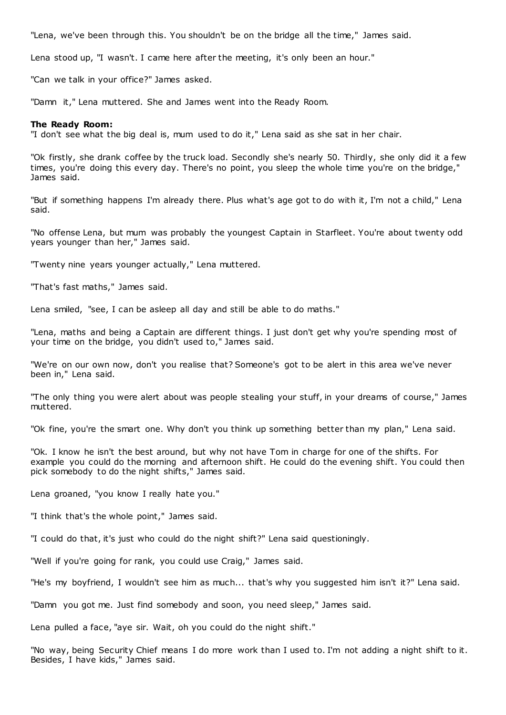"Lena, we've been through this. You shouldn't be on the bridge all the time," James said.

Lena stood up, "I wasn't. I came here after the meeting, it's only been an hour."

"Can we talk in your office?" James asked.

"Damn it," Lena muttered. She and James went into the Ready Room.

### **The Ready Room:**

"I don't see what the big deal is, mum used to do it," Lena said as she sat in her chair.

"Ok firstly, she drank coffee by the truck load. Secondly she's nearly 50. Thirdly, she only did it a few times, you're doing this every day. There's no point, you sleep the whole time you're on the bridge," James said.

"But if something happens I'm already there. Plus what's age got to do with it, I'm not a child," Lena said.

"No offense Lena, but mum was probably the youngest Captain in Starfleet. You're about twenty odd years younger than her," James said.

"Twenty nine years younger actually," Lena muttered.

"That's fast maths," James said.

Lena smiled, "see, I can be asleep all day and still be able to do maths."

"Lena, maths and being a Captain are different things. I just don't get why you're spending most of your time on the bridge, you didn't used to," James said.

"We're on our own now, don't you realise that? Someone's got to be alert in this area we've never been in," Lena said.

"The only thing you were alert about was people stealing your stuff, in your dreams of course," James muttered.

"Ok fine, you're the smart one. Why don't you think up something better than my plan," Lena said.

"Ok. I know he isn't the best around, but why not have Tom in charge for one of the shifts. For example you could do the morning and afternoon shift. He could do the evening shift. You could then pick somebody to do the night shifts," James said.

Lena groaned, "you know I really hate you."

"I think that's the whole point," James said.

"I could do that, it's just who could do the night shift?" Lena said questioningly.

"Well if you're going for rank, you could use Craig," James said.

"He's my boyfriend, I wouldn't see him as much... that's why you suggested him isn't it?" Lena said.

"Damn you got me. Just find somebody and soon, you need sleep," James said.

Lena pulled a face, "aye sir. Wait, oh you could do the night shift."

"No way, being Security Chief means I do more work than I used to. I'm not adding a night shift to it. Besides, I have kids," James said.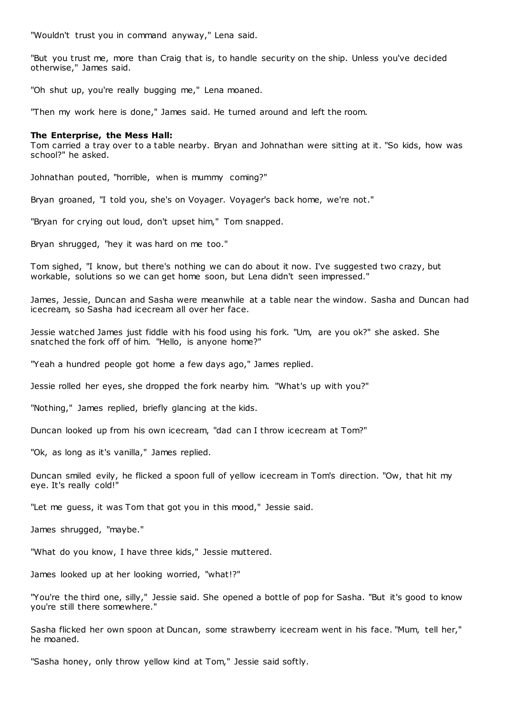"Wouldn't trust you in command anyway," Lena said.

"But you trust me, more than Craig that is, to handle security on the ship. Unless you've decided otherwise," James said.

"Oh shut up, you're really bugging me," Lena moaned.

"Then my work here is done," James said. He turned around and left the room.

### **The Enterprise, the Mess Hall:**

Tom carried a tray over to a table nearby. Bryan and Johnathan were sitting at it. "So kids, how was school?" he asked.

Johnathan pouted, "horrible, when is mummy coming?"

Bryan groaned, "I told you, she's on Voyager. Voyager's back home, we're not."

"Bryan for crying out loud, don't upset him," Tom snapped.

Bryan shrugged, "hey it was hard on me too."

Tom sighed, "I know, but there's nothing we can do about it now. I've suggested two crazy, but workable, solutions so we can get home soon, but Lena didn't seen impressed."

James, Jessie, Duncan and Sasha were meanwhile at a table near the window. Sasha and Duncan had icecream, so Sasha had icecream all over her face.

Jessie watched James just fiddle with his food using his fork. "Um, are you ok?" she asked. She snatched the fork off of him. "Hello, is anyone home?"

"Yeah a hundred people got home a few days ago," James replied.

Jessie rolled her eyes, she dropped the fork nearby him. "What's up with you?"

"Nothing," James replied, briefly glancing at the kids.

Duncan looked up from his own icecream, "dad can I throw icecream at Tom?"

"Ok, as long as it's vanilla," James replied.

Duncan smiled evily, he flicked a spoon full of yellow icecream in Tom's direction. "Ow, that hit my eye. It's really cold!"

"Let me guess, it was Tom that got you in this mood," Jessie said.

James shrugged, "maybe."

"What do you know, I have three kids," Jessie muttered.

James looked up at her looking worried, "what!?"

"You're the third one, silly," Jessie said. She opened a bottle of pop for Sasha. "But it's good to know you're still there somewhere."

Sasha flicked her own spoon at Duncan, some strawberry icecream went in his face. "Mum, tell her," he moaned.

"Sasha honey, only throw yellow kind at Tom," Jessie said softly.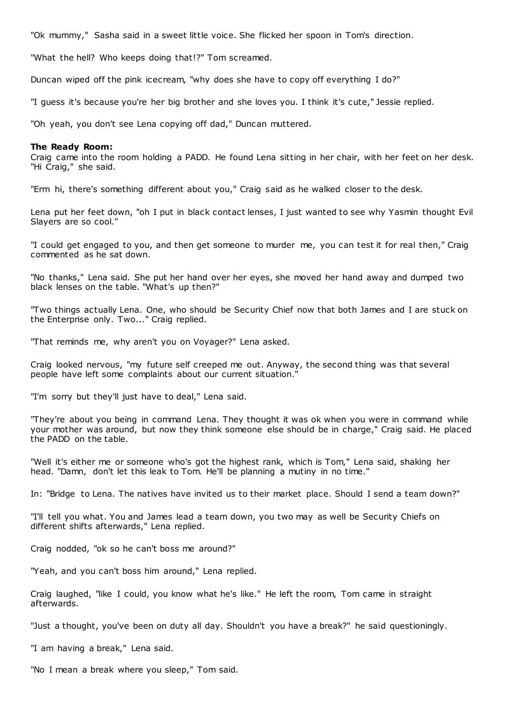"Ok mummy," Sasha said in a sweet little voice. She flicked her spoon in Tom's direction.

"What the hell? Who keeps doing that!?" Tom screamed.

Duncan wiped off the pink icecream, "why does she have to copy off everything I do?"

"I guess it's because you're her big brother and she loves you. I think it's cute," Jessie replied.

"Oh yeah, you don't see Lena copying off dad," Duncan muttered.

### **The Ready Room:**

Craig came into the room holding a PADD. He found Lena sitting in her chair, with her feet on her desk. "Hi Craig," she said.

"Erm hi, there's something different about you," Craig said as he walked closer to the desk.

Lena put her feet down, "oh I put in black contact lenses, I just wanted to see why Yasmin thought Evil Slayers are so cool."

"I could get engaged to you, and then get someone to murder me, you can test it for real then," Craig commented as he sat down.

"No thanks," Lena said. She put her hand over her eyes, she moved her hand away and dumped two black lenses on the table. "What's up then?"

"Two things actually Lena. One, who should be Security Chief now that both James and I are stuck on the Enterprise only. Two..." Craig replied.

"That reminds me, why aren't you on Voyager?" Lena asked.

Craig looked nervous, "my future self creeped me out. Anyway, the second thing was that several people have left some complaints about our current situation."

"I'm sorry but they'll just have to deal," Lena said.

"They're about you being in command Lena. They thought it was ok when you were in command while your mother was around, but now they think someone else should be in charge," Craig said. He placed the PADD on the table.

"Well it's either me or someone who's got the highest rank, which is Tom," Lena said, shaking her head. "Damn, don't let this leak to Tom. He'll be planning a mutiny in no time."

In: "Bridge to Lena. The natives have invited us to their market place. Should I send a team down?"

"I'll tell you what. You and James lead a team down, you two may as well be Security Chiefs on different shifts afterwards," Lena replied.

Craig nodded, "ok so he can't boss me around?"

"Yeah, and you can't boss him around," Lena replied.

Craig laughed, "like I could, you know what he's like." He left the room, Tom came in straight afterwards.

"Just a thought, you've been on duty all day. Shouldn't you have a break?" he said questioningly.

"I am having a break," Lena said.

"No I mean a break where you sleep," Tom said.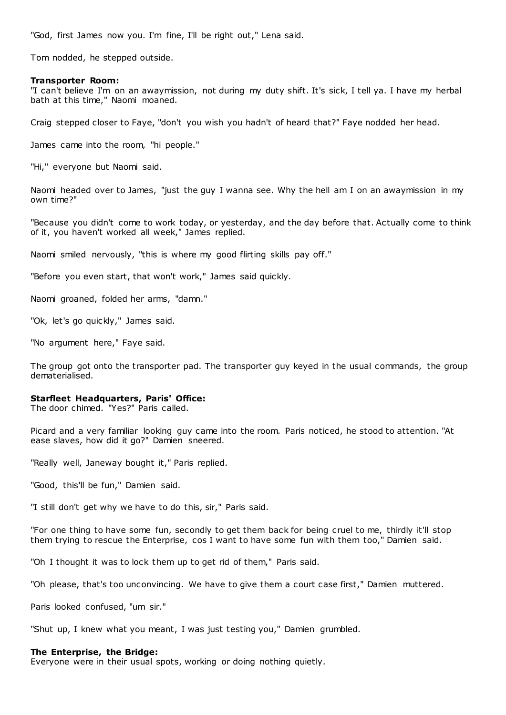"God, first James now you. I'm fine, I'll be right out," Lena said.

Tom nodded, he stepped outside.

### **Transporter Room:**

"I can't believe I'm on an awaymission, not during my duty shift. It's sick, I tell ya. I have my herbal bath at this time," Naomi moaned.

Craig stepped closer to Faye, "don't you wish you hadn't of heard that?" Faye nodded her head.

James came into the room, "hi people."

"Hi," everyone but Naomi said.

Naomi headed over to James, "just the guy I wanna see. Why the hell am I on an awaymission in my own time?"

"Because you didn't come to work today, or yesterday, and the day before that. Actually come to think of it, you haven't worked all week," James replied.

Naomi smiled nervously, "this is where my good flirting skills pay off."

"Before you even start, that won't work," James said quickly.

Naomi groaned, folded her arms, "damn."

"Ok, let's go quickly," James said.

"No argument here," Faye said.

The group got onto the transporter pad. The transporter guy keyed in the usual commands, the group dematerialised.

### **Starfleet Headquarters, Paris' Office:**

The door chimed. "Yes?" Paris called.

Picard and a very familiar looking guy came into the room. Paris noticed, he stood to attention. "At ease slaves, how did it go?" Damien sneered.

"Really well, Janeway bought it," Paris replied.

"Good, this'll be fun," Damien said.

"I still don't get why we have to do this, sir," Paris said.

"For one thing to have some fun, secondly to get them back for being cruel to me, thirdly it'll stop them trying to rescue the Enterprise, cos I want to have some fun with them too," Damien said.

"Oh I thought it was to lock them up to get rid of them," Paris said.

"Oh please, that's too unconvincing. We have to give them a court case first," Damien muttered.

Paris looked confused, "um sir."

"Shut up, I knew what you meant, I was just testing you," Damien grumbled.

### **The Enterprise, the Bridge:**

Everyone were in their usual spots, working or doing nothing quietly.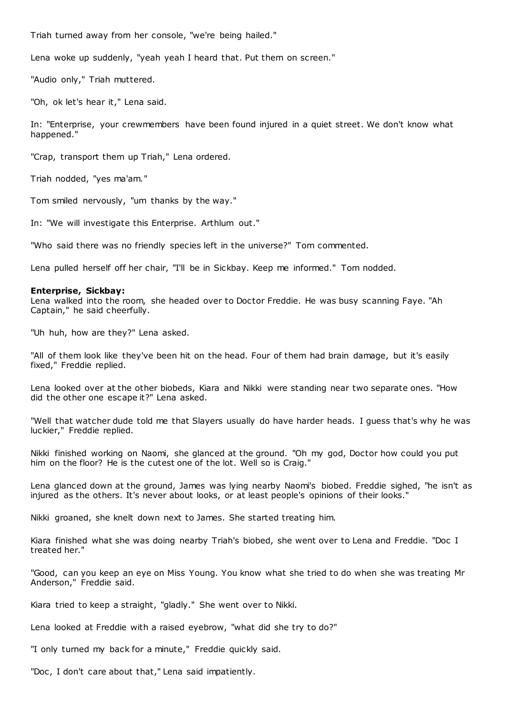Triah turned away from her console, "we're being hailed."

Lena woke up suddenly, "yeah yeah I heard that. Put them on screen."

"Audio only," Triah muttered.

"Oh, ok let's hear it," Lena said.

In: "Enterprise, your crewmembers have been found injured in a quiet street. We don't know what happened."

"Crap, transport them up Triah," Lena ordered.

Triah nodded, "yes ma'am."

Tom smiled nervously, "um thanks by the way."

In: "We will investigate this Enterprise. Arthlum out."

"Who said there was no friendly species left in the universe?" Tom commented.

Lena pulled herself off her chair, "I'll be in Sickbay. Keep me informed." Tom nodded.

# **Enterprise, Sickbay:**

Lena walked into the room, she headed over to Doctor Freddie. He was busy scanning Faye. "Ah Captain," he said cheerfully.

"Uh huh, how are they?" Lena asked.

"All of them look like they've been hit on the head. Four of them had brain damage, but it's easily fixed," Freddie replied.

Lena looked over at the other biobeds, Kiara and Nikki were standing near two separate ones. "How did the other one escape it?" Lena asked.

"Well that watcher dude told me that Slayers usually do have harder heads. I guess that's why he was luckier," Freddie replied.

Nikki finished working on Naomi, she glanced at the ground. "Oh my god, Doctor how could you put him on the floor? He is the cutest one of the lot. Well so is Craig."

Lena glanced down at the ground, James was lying nearby Naomi's biobed. Freddie sighed, "he isn't as injured as the others. It's never about looks, or at least people's opinions of their looks."

Nikki groaned, she knelt down next to James. She started treating him.

Kiara finished what she was doing nearby Triah's biobed, she went over to Lena and Freddie. "Doc I treated her."

"Good, can you keep an eye on Miss Young. You know what she tried to do when she was treating Mr Anderson," Freddie said.

Kiara tried to keep a straight, "gladly." She went over to Nikki.

Lena looked at Freddie with a raised eyebrow, "what did she try to do?"

"I only turned my back for a minute," Freddie quickly said.

"Doc, I don't care about that," Lena said impatiently.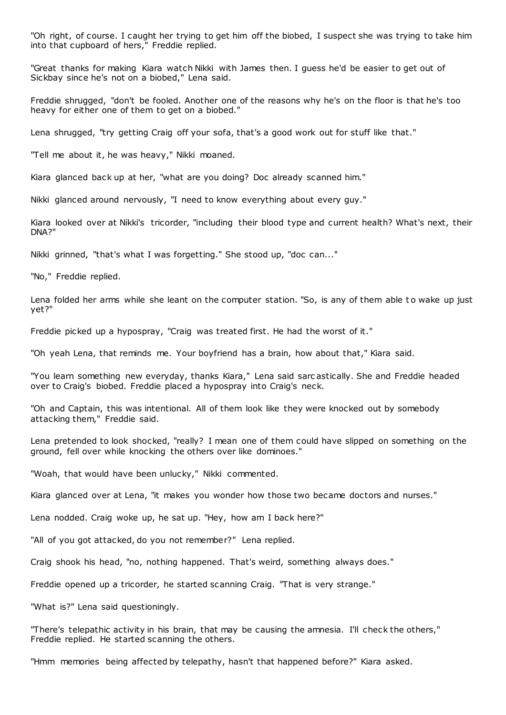"Oh right, of course. I caught her trying to get him off the biobed, I suspect she was trying to take him into that cupboard of hers," Freddie replied.

"Great thanks for making Kiara watch Nikki with James then. I guess he'd be easier to get out of Sickbay since he's not on a biobed," Lena said.

Freddie shrugged, "don't be fooled. Another one of the reasons why he's on the floor is that he's too heavy for either one of them to get on a biobed."

Lena shrugged, "try getting Craig off your sofa, that's a good work out for stuff like that."

"Tell me about it, he was heavy," Nikki moaned.

Kiara glanced back up at her, "what are you doing? Doc already scanned him."

Nikki glanced around nervously, "I need to know everything about every guy."

Kiara looked over at Nikki's tricorder, "including their blood type and current health? What's next, their DNA?"

Nikki grinned, "that's what I was forgetting." She stood up, "doc can..."

"No," Freddie replied.

Lena folded her arms while she leant on the computer station. "So, is any of them able to wake up just yet?"

Freddie picked up a hypospray, "Craig was treated first. He had the worst of it."

"Oh yeah Lena, that reminds me. Your boyfriend has a brain, how about that," Kiara said.

"You learn something new everyday, thanks Kiara," Lena said sarc astically. She and Freddie headed over to Craig's biobed. Freddie placed a hypospray into Craig's neck.

"Oh and Captain, this was intentional. All of them look like they were knocked out by somebody attacking them," Freddie said.

Lena pretended to look shocked, "really? I mean one of them could have slipped on something on the ground, fell over while knocking the others over like dominoes."

"Woah, that would have been unlucky," Nikki commented.

Kiara glanced over at Lena, "it makes you wonder how those two became doctors and nurses."

Lena nodded. Craig woke up, he sat up. "Hey, how am I back here?"

"All of you got attacked, do you not remember?" Lena replied.

Craig shook his head, "no, nothing happened. That's weird, something always does."

Freddie opened up a tricorder, he started scanning Craig. "That is very strange."

"What is?" Lena said questioningly.

"There's telepathic activity in his brain, that may be causing the amnesia. I'll check the others," Freddie replied. He started scanning the others.

"Hmm memories being affected by telepathy, hasn't that happened before?" Kiara asked.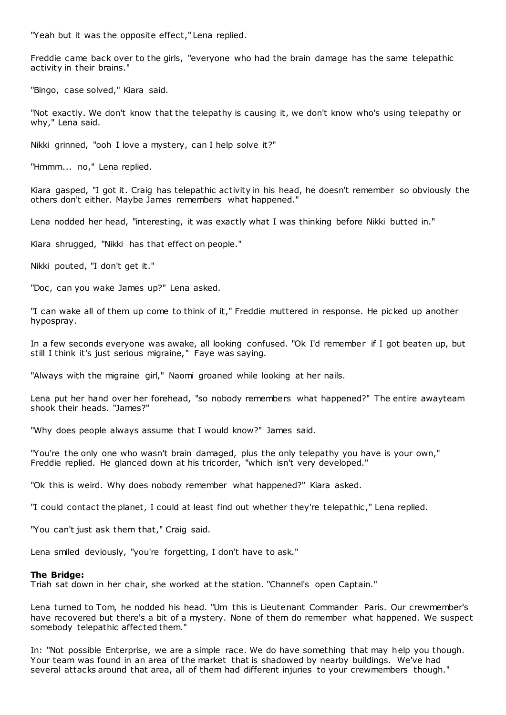"Yeah but it was the opposite effect," Lena replied.

Freddie came back over to the girls, "everyone who had the brain damage has the same telepathic activity in their brains."

"Bingo, case solved," Kiara said.

"Not exactly. We don't know that the telepathy is causing it, we don't know who's using telepathy or why," Lena said.

Nikki grinned, "ooh I love a mystery, can I help solve it?"

"Hmmm... no," Lena replied.

Kiara gasped, "I got it. Craig has telepathic activity in his head, he doesn't remember so obviously the others don't either. Maybe James remembers what happened."

Lena nodded her head, "interesting, it was exactly what I was thinking before Nikki butted in."

Kiara shrugged, "Nikki has that effect on people."

Nikki pouted, "I don't get it."

"Doc , can you wake James up?" Lena asked.

"I can wake all of them up come to think of it," Freddie muttered in response. He picked up another hypospray.

In a few seconds everyone was awake, all looking confused. "Ok I'd remember if I got beaten up, but still I think it's just serious migraine," Faye was saying.

"Always with the migraine girl," Naomi groaned while looking at her nails.

Lena put her hand over her forehead, "so nobody remembers what happened?" The entire awayteam shook their heads. "James?"

"Why does people always assume that I would know?" James said.

"You're the only one who wasn't brain damaged, plus the only telepathy you have is your own," Freddie replied. He glanced down at his tricorder, "which isn't very developed."

"Ok this is weird. Why does nobody remember what happened?" Kiara asked.

"I could contact the planet, I could at least find out whether they're telepathic ," Lena replied.

"You can't just ask them that," Craig said.

Lena smiled deviously, "you're forgetting, I don't have to ask."

### **The Bridge:**

Triah sat down in her chair, she worked at the station. "Channel's open Captain."

Lena turned to Tom, he nodded his head. "Um this is Lieutenant Commander Paris. Our crewmember's have recovered but there's a bit of a mystery. None of them do remember what happened. We suspect somebody telepathic affected them."

In: "Not possible Enterprise, we are a simple race. We do have something that may help you though. Your team was found in an area of the market that is shadowed by nearby buildings. We've had several attacks around that area, all of them had different injuries to your crewmembers though."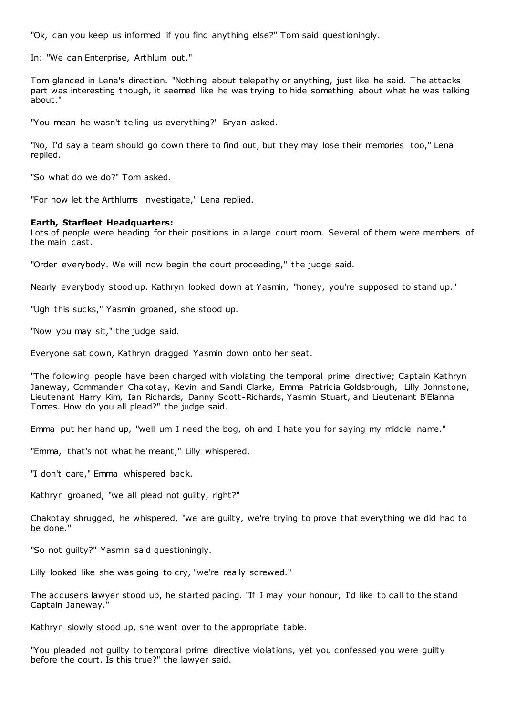"Ok, can you keep us informed if you find anything else?" Tom said questioningly.

In: "We can Enterprise, Arthlum out."

Tom glanced in Lena's direction. "Nothing about telepathy or anything, just like he said. The attacks part was interesting though, it seemed like he was trying to hide something about what he was talking about."

"You mean he wasn't telling us everything?" Bryan asked.

"No, I'd say a team should go down there to find out, but they may lose their memories too," Lena replied.

"So what do we do?" Tom asked.

"For now let the Arthlums investigate," Lena replied.

### **Earth, Starfleet Headquarters:**

Lots of people were heading for their positions in a large court room. Several of them were members of the main cast.

"Order everybody. We will now begin the court proceeding," the judge said.

Nearly everybody stood up. Kathryn looked down at Yasmin, "honey, you're supposed to stand up."

"Ugh this sucks," Yasmin groaned, she stood up.

"Now you may sit," the judge said.

Everyone sat down, Kathryn dragged Yasmin down onto her seat.

"The following people have been charged with violating the temporal prime directive; Captain Kathryn Janeway, Commander Chakotay, Kevin and Sandi Clarke, Emma Patricia Goldsbrough, Lilly Johnstone, Lieutenant Harry Kim, Ian Richards, Danny Scott-Richards, Yasmin Stuart, and Lieutenant B'Elanna Torres. How do you all plead?" the judge said.

Emma put her hand up, "well um I need the bog, oh and I hate you for saying my middle name."

"Emma, that's not what he meant," Lilly whispered.

"I don't care," Emma whispered back.

Kathryn groaned, "we all plead not guilty, right?"

Chakotay shrugged, he whispered, "we are guilty, we're trying to prove that everything we did had to be done."

"So not guilty?" Yasmin said questioningly.

Lilly looked like she was going to cry, "we're really screwed."

The accuser's lawyer stood up, he started pacing. "If I may your honour, I'd like to call to the stand Captain Janeway."

Kathryn slowly stood up, she went over to the appropriate table.

"You pleaded not guilty to temporal prime directive violations, yet you confessed you were guilty before the court. Is this true?" the lawyer said.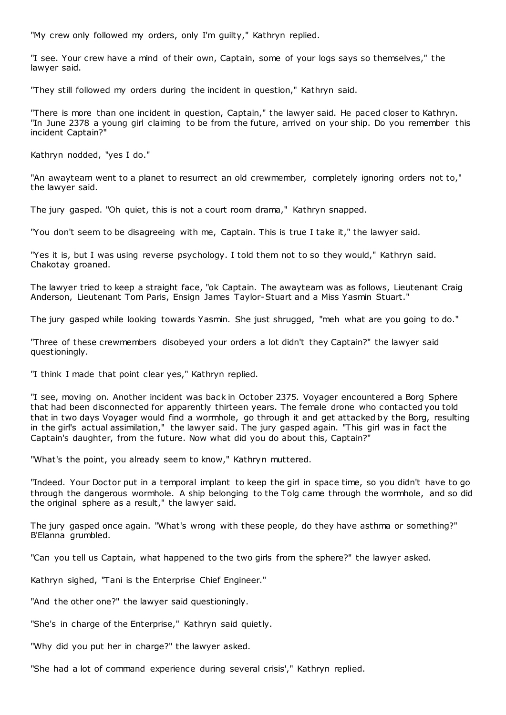"My crew only followed my orders, only I'm guilty," Kathryn replied.

"I see. Your crew have a mind of their own, Captain, some of your logs says so themselves," the lawyer said.

"They still followed my orders during the incident in question," Kathryn said.

"There is more than one incident in question, Captain," the lawyer said. He paced closer to Kathryn. "In June 2378 a young girl claiming to be from the future, arrived on your ship. Do you remember this incident Captain?"

Kathryn nodded, "yes I do."

"An awayteam went to a planet to resurrect an old crewmember, completely ignoring orders not to," the lawyer said.

The jury gasped. "Oh quiet, this is not a court room drama," Kathryn snapped.

"You don't seem to be disagreeing with me, Captain. This is true I take it," the lawyer said.

"Yes it is, but I was using reverse psychology. I told them not to so they would," Kathryn said. Chakotay groaned.

The lawyer tried to keep a straight face, "ok Captain. The awayteam was as follows, Lieutenant Craig Anderson, Lieutenant Tom Paris, Ensign James Taylor-Stuart and a Miss Yasmin Stuart."

The jury gasped while looking towards Yasmin. She just shrugged, "meh what are you going to do."

"Three of these crewmembers disobeyed your orders a lot didn't they Captain?" the lawyer said questioningly.

"I think I made that point clear yes," Kathryn replied.

"I see, moving on. Another incident was back in October 2375. Voyager encountered a Borg Sphere that had been disconnected for apparently thirteen years. The female drone who contacted you told that in two days Voyager would find a wormhole, go through it and get attacked by the Borg, resulting in the girl's actual assimilation," the lawyer said. The jury gasped again. "This girl was in fact the Captain's daughter, from the future. Now what did you do about this, Captain?"

"What's the point, you already seem to know," Kathryn muttered.

"Indeed. Your Doctor put in a temporal implant to keep the girl in space time, so you didn't have to go through the dangerous wormhole. A ship belonging to the Tolg came through the wormhole, and so did the original sphere as a result," the lawyer said.

The jury gasped once again. "What's wrong with these people, do they have asthma or something?" B'Elanna grumbled.

"Can you tell us Captain, what happened to the two girls from the sphere?" the lawyer asked.

Kathryn sighed, "Tani is the Enterprise Chief Engineer."

"And the other one?" the lawyer said questioningly.

"She's in charge of the Enterprise," Kathryn said quietly.

"Why did you put her in charge?" the lawyer asked.

"She had a lot of command experience during several crisis'," Kathryn replied.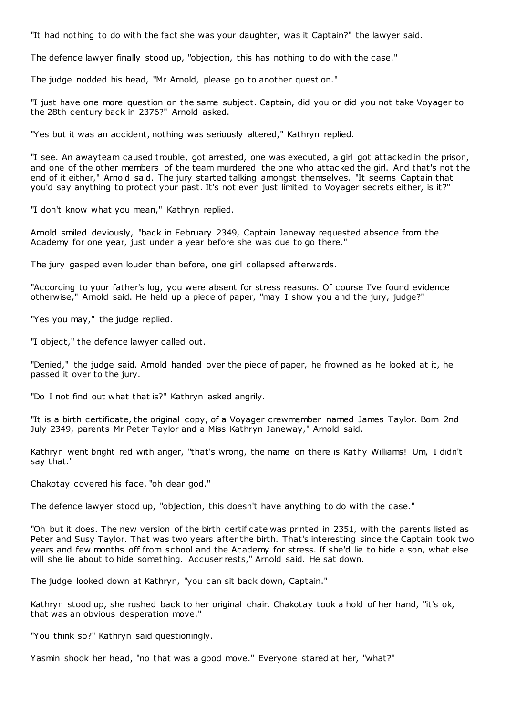"It had nothing to do with the fact she was your daughter, was it Captain?" the lawyer said.

The defence lawyer finally stood up, "objection, this has nothing to do with the case."

The judge nodded his head, "Mr Arnold, please go to another question."

"I just have one more question on the same subject. Captain, did you or did you not take Voyager to the 28th century back in 2376?" Arnold asked.

"Yes but it was an accident, nothing was seriously altered," Kathryn replied.

"I see. An awayteam caused trouble, got arrested, one was executed, a girl got attacked in the prison, and one of the other members of the team murdered the one who attacked the girl. And that's not the end of it either," Arnold said. The jury started talking amongst themselves. "It seems Captain that you'd say anything to protect your past. It's not even just limited to Voyager secrets either, is it?"

"I don't know what you mean," Kathryn replied.

Arnold smiled deviously, "back in February 2349, Captain Janeway requested absence from the Academy for one year, just under a year before she was due to go there."

The jury gasped even louder than before, one girl collapsed afterwards.

"According to your father's log, you were absent for stress reasons. Of course I've found evidence otherwise," Arnold said. He held up a piece of paper, "may I show you and the jury, judge?"

"Yes you may," the judge replied.

"I object," the defence lawyer called out.

"Denied," the judge said. Arnold handed over the piece of paper, he frowned as he looked at it, he passed it over to the jury.

"Do I not find out what that is?" Kathryn asked angrily.

"It is a birth certificate, the original copy, of a Voyager crewmember named James Taylor. Born 2nd July 2349, parents Mr Peter Taylor and a Miss Kathryn Janeway," Arnold said.

Kathryn went bright red with anger, "that's wrong, the name on there is Kathy Williams! Um, I didn't say that."

Chakotay covered his face, "oh dear god."

The defence lawyer stood up, "objection, this doesn't have anything to do with the case."

"Oh but it does. The new version of the birth certificate was printed in 2351, with the parents listed as Peter and Susy Taylor. That was two years after the birth. That's interesting since the Captain took two years and few months off from school and the Academy for stress. If she'd lie to hide a son, what else will she lie about to hide something. Accuser rests," Arnold said. He sat down.

The judge looked down at Kathryn, "you can sit back down, Captain."

Kathryn stood up, she rushed back to her original chair. Chakotay took a hold of her hand, "it's ok, that was an obvious desperation move."

"You think so?" Kathryn said questioningly.

Yasmin shook her head, "no that was a good move." Everyone stared at her, "what?"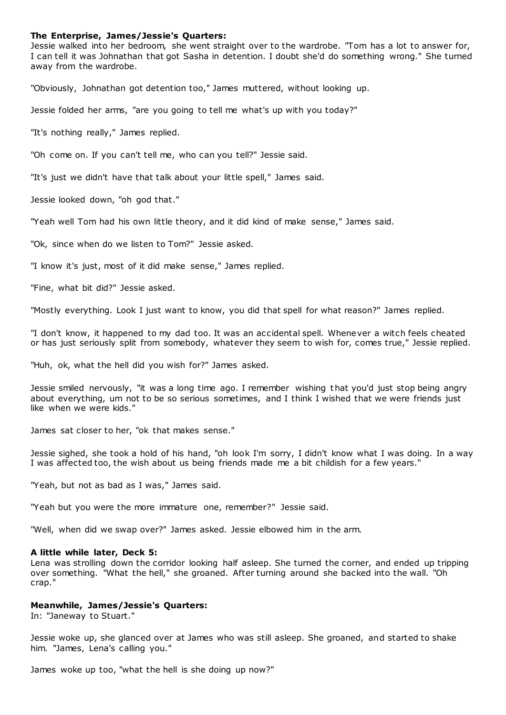# **The Enterprise, James/Jessie's Quarters:**

Jessie walked into her bedroom, she went straight over to the wardrobe. "Tom has a lot to answer for, I can tell it was Johnathan that got Sasha in detention. I doubt she'd do something wrong." She turned away from the wardrobe.

"Obviously, Johnathan got detention too," James muttered, without looking up.

Jessie folded her arms, "are you going to tell me what's up with you today?"

"It's nothing really," James replied.

"Oh come on. If you can't tell me, who can you tell?" Jessie said.

"It's just we didn't have that talk about your little spell," James said.

Jessie looked down, "oh god that."

"Yeah well Tom had his own little theory, and it did kind of make sense," James said.

"Ok, since when do we listen to Tom?" Jessie asked.

"I know it's just, most of it did make sense," James replied.

"Fine, what bit did?" Jessie asked.

"Mostly everything. Look I just want to know, you did that spell for what reason?" James replied.

"I don't know, it happened to my dad too. It was an accidental spell. Whenever a witch feels cheated or has just seriously split from somebody, whatever they seem to wish for, comes true," Jessie replied.

"Huh, ok, what the hell did you wish for?" James asked.

Jessie smiled nervously, "it was a long time ago. I remember wishing t hat you'd just stop being angry about everything, um not to be so serious sometimes, and I think I wished that we were friends just like when we were kids."

James sat closer to her, "ok that makes sense."

Jessie sighed, she took a hold of his hand, "oh look I'm sorry, I didn't know what I was doing. In a way I was affected too, the wish about us being friends made me a bit childish for a few years."

"Yeah, but not as bad as I was," James said.

"Yeah but you were the more immature one, remember?" Jessie said.

"Well, when did we swap over?" James asked. Jessie elbowed him in the arm.

### **A little while later, Deck 5:**

Lena was strolling down the corridor looking half asleep. She turned the corner, and ended up tripping over something. "What the hell," she groaned. After turning around she backed into the wall. "Oh crap."

### **Meanwhile, James/Jessie's Quarters:**

In: "Janeway to Stuart."

Jessie woke up, she glanced over at James who was still asleep. She groaned, and started to shake him. "James, Lena's calling you."

James woke up too, "what the hell is she doing up now?"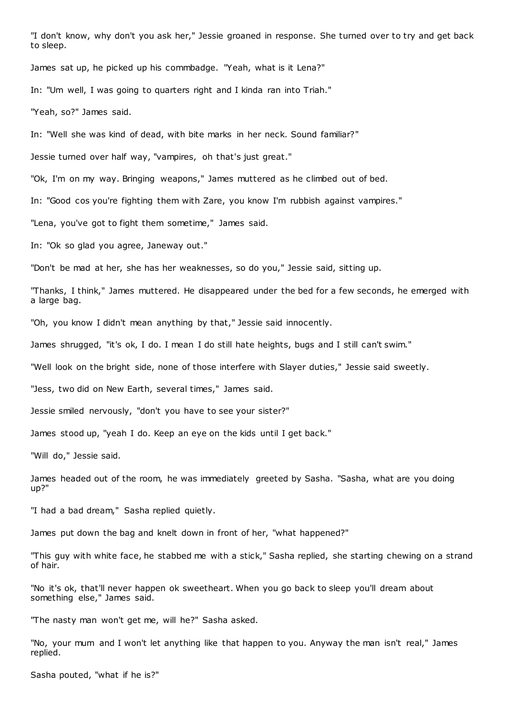"I don't know, why don't you ask her," Jessie groaned in response. She turned over to try and get back to sleep.

James sat up, he picked up his commbadge. "Yeah, what is it Lena?"

In: "Um well, I was going to quarters right and I kinda ran into Triah."

"Yeah, so?" James said.

In: "Well she was kind of dead, with bite marks in her neck. Sound familiar?"

Jessie turned over half way, "vampires, oh that's just great."

"Ok, I'm on my way. Bringing weapons," James muttered as he climbed out of bed.

In: "Good cos you're fighting them with Zare, you know I'm rubbish against vampires."

"Lena, you've got to fight them sometime," James said.

In: "Ok so glad you agree, Janeway out."

"Don't be mad at her, she has her weaknesses, so do you," Jessie said, sitting up.

"Thanks, I think," James muttered. He disappeared under the bed for a few seconds, he emerged with a large bag.

"Oh, you know I didn't mean anything by that," Jessie said innocently.

James shrugged, "it's ok, I do. I mean I do still hate heights, bugs and I still can't swim."

"Well look on the bright side, none of those interfere with Slayer duties," Jessie said sweetly.

"Jess, two did on New Earth, several times," James said.

Jessie smiled nervously, "don't you have to see your sister?"

James stood up, "yeah I do. Keep an eye on the kids until I get back."

"Will do," Jessie said.

James headed out of the room, he was immediately greeted by Sasha. "Sasha, what are you doing up?"

"I had a bad dream," Sasha replied quietly.

James put down the bag and knelt down in front of her, "what happened?"

"This guy with white face, he stabbed me with a stick," Sasha replied, she starting chewing on a strand of hair.

"No it's ok, that'll never happen ok sweetheart. When you go back to sleep you'll dream about something else," James said.

"The nasty man won't get me, will he?" Sasha asked.

"No, your mum and I won't let anything like that happen to you. Anyway the man isn't real," James replied.

Sasha pouted, "what if he is?"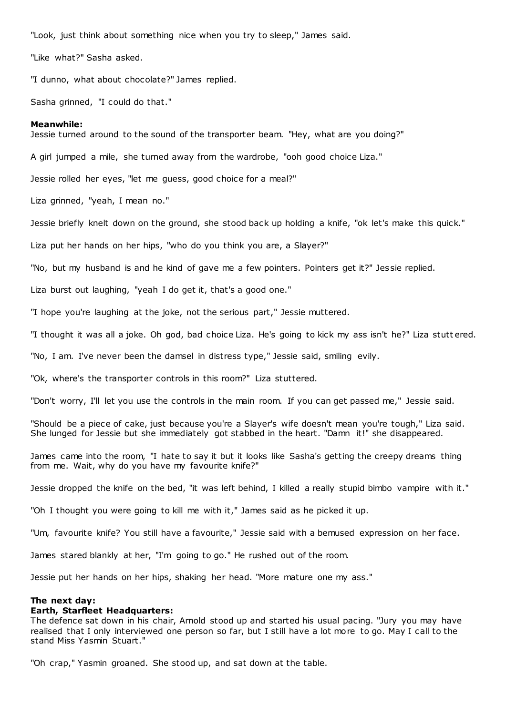"Look, just think about something nice when you try to sleep," James said.

"Like what?" Sasha asked.

"I dunno, what about chocolate?" James replied.

Sasha grinned, "I could do that."

#### **Meanwhile:**

Jessie turned around to the sound of the transporter beam. "Hey, what are you doing?"

A girl jumped a mile, she turned away from the wardrobe, "ooh good choice Liza."

Jessie rolled her eyes, "let me guess, good choice for a meal?"

Liza grinned, "yeah, I mean no."

Jessie briefly knelt down on the ground, she stood back up holding a knife, "ok let's make this quick."

Liza put her hands on her hips, "who do you think you are, a Slayer?"

"No, but my husband is and he kind of gave me a few pointers. Pointers get it?" Jessie replied.

Liza burst out laughing, "yeah I do get it, that's a good one."

"I hope you're laughing at the joke, not the serious part," Jessie muttered.

"I thought it was all a joke. Oh god, bad choice Liza. He's going to kick my ass isn't he?" Liza stutt ered.

"No, I am. I've never been the damsel in distress type," Jessie said, smiling evily.

"Ok, where's the transporter controls in this room?" Liza stuttered.

"Don't worry, I'll let you use the controls in the main room. If you can get passed me," Jessie said.

"Should be a piece of cake, just because you're a Slayer's wife doesn't mean you're tough," Liza said. She lunged for Jessie but she immediately got stabbed in the heart. "Damn it!" she disappeared.

James came into the room, "I hate to say it but it looks like Sasha's getting the creepy dreams thing from me. Wait, why do you have my favourite knife?"

Jessie dropped the knife on the bed, "it was left behind, I killed a really stupid bimbo vampire with it."

"Oh I thought you were going to kill me with it," James said as he picked it up.

"Um, favourite knife? You still have a favourite," Jessie said with a bemused expression on her face.

James stared blankly at her, "I'm going to go." He rushed out of the room.

Jessie put her hands on her hips, shaking her head. "More mature one my ass."

### **The next day:**

### **Earth, Starfleet Headquarters:**

The defence sat down in his chair, Arnold stood up and started his usual pacing. "Jury you may have realised that I only interviewed one person so far, but I still have a lot more to go. May I call to the stand Miss Yasmin Stuart."

"Oh crap," Yasmin groaned. She stood up, and sat down at the table.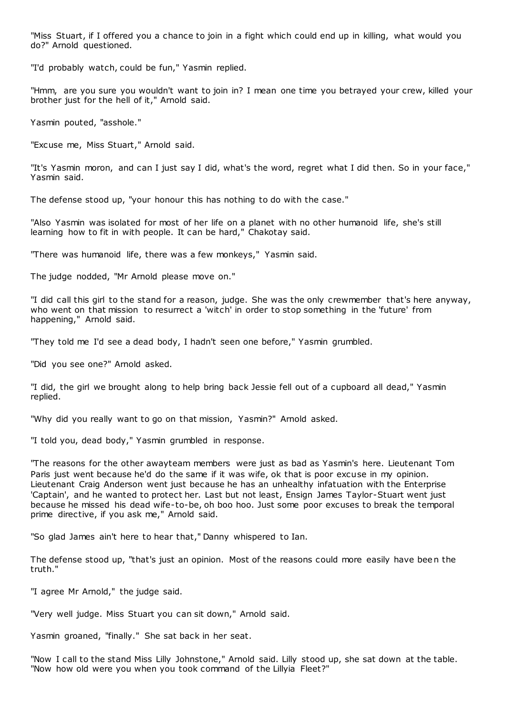"Miss Stuart, if I offered you a chance to join in a fight which could end up in killing, what would you do?" Arnold questioned.

"I'd probably watch, could be fun," Yasmin replied.

"Hmm, are you sure you wouldn't want to join in? I mean one time you betrayed your crew, killed your brother just for the hell of it," Arnold said.

Yasmin pouted, "asshole."

"Excuse me, Miss Stuart," Arnold said.

"It's Yasmin moron, and can I just say I did, what's the word, regret what I did then. So in your face," Yasmin said.

The defense stood up, "your honour this has nothing to do with the case."

"Also Yasmin was isolated for most of her life on a planet with no other humanoid life, she's still learning how to fit in with people. It can be hard," Chakotay said.

"There was humanoid life, there was a few monkeys," Yasmin said.

The judge nodded, "Mr Arnold please move on."

"I did call this girl to the stand for a reason, judge. She was the only crewmember that's here anyway, who went on that mission to resurrect a 'witch' in order to stop something in the 'future' from happening," Arnold said.

"They told me I'd see a dead body, I hadn't seen one before," Yasmin grumbled.

"Did you see one?" Arnold asked.

"I did, the girl we brought along to help bring back Jessie fell out of a cupboard all dead," Yasmin replied.

"Why did you really want to go on that mission, Yasmin?" Arnold asked.

"I told you, dead body," Yasmin grumbled in response.

"The reasons for the other awayteam members were just as bad as Yasmin's here. Lieutenant Tom Paris just went because he'd do the same if it was wife, ok that is poor excuse in my opinion. Lieutenant Craig Anderson went just because he has an unhealthy infatuation with the Enterprise 'Captain', and he wanted to protect her. Last but not least, Ensign James Taylor-Stuart went just because he missed his dead wife-to-be, oh boo hoo. Just some poor excuses to break the temporal prime directive, if you ask me," Arnold said.

"So glad James ain't here to hear that," Danny whispered to Ian.

The defense stood up, "that's just an opinion. Most of the reasons could more easily have been the truth."

"I agree Mr Arnold," the judge said.

"Very well judge. Miss Stuart you can sit down," Arnold said.

Yasmin groaned, "finally." She sat back in her seat.

"Now I call to the stand Miss Lilly Johnstone," Arnold said. Lilly stood up, she sat down at the table. "Now how old were you when you took command of the Lillyia Fleet?"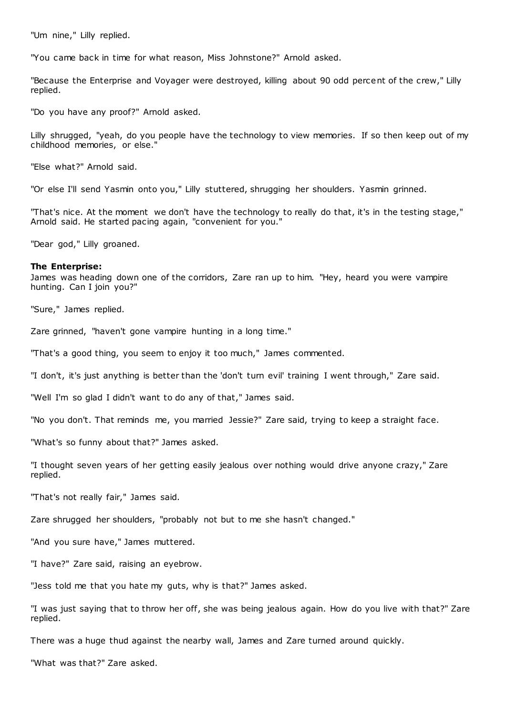"Um nine," Lilly replied.

"You came back in time for what reason, Miss Johnstone?" Arnold asked.

"Because the Enterprise and Voyager were destroyed, killing about 90 odd percent of the crew," Lilly replied.

"Do you have any proof?" Arnold asked.

Lilly shrugged, "yeah, do you people have the technology to view memories. If so then keep out of my childhood memories, or else."

"Else what?" Arnold said.

"Or else I'll send Yasmin onto you," Lilly stuttered, shrugging her shoulders. Yasmin grinned.

"That's nice. At the moment we don't have the technology to really do that, it's in the testing stage," Arnold said. He started pacing again, "convenient for you."

"Dear god," Lilly groaned.

### **The Enterprise:**

James was heading down one of the corridors, Zare ran up to him. "Hey, heard you were vampire hunting. Can I join you?"

"Sure," James replied.

Zare grinned, "haven't gone vampire hunting in a long time."

"That's a good thing, you seem to enjoy it too much," James commented.

"I don't, it's just anything is better than the 'don't turn evil' training I went through," Zare said.

"Well I'm so glad I didn't want to do any of that," James said.

"No you don't. That reminds me, you married Jessie?" Zare said, trying to keep a straight face.

"What's so funny about that?" James asked.

"I thought seven years of her getting easily jealous over nothing would drive anyone crazy," Zare replied.

"That's not really fair," James said.

Zare shrugged her shoulders, "probably not but to me she hasn't changed."

"And you sure have," James muttered.

"I have?" Zare said, raising an eyebrow.

"Jess told me that you hate my guts, why is that?" James asked.

"I was just saying that to throw her off, she was being jealous again. How do you live with that?" Zare replied.

There was a huge thud against the nearby wall, James and Zare turned around quickly.

"What was that?" Zare asked.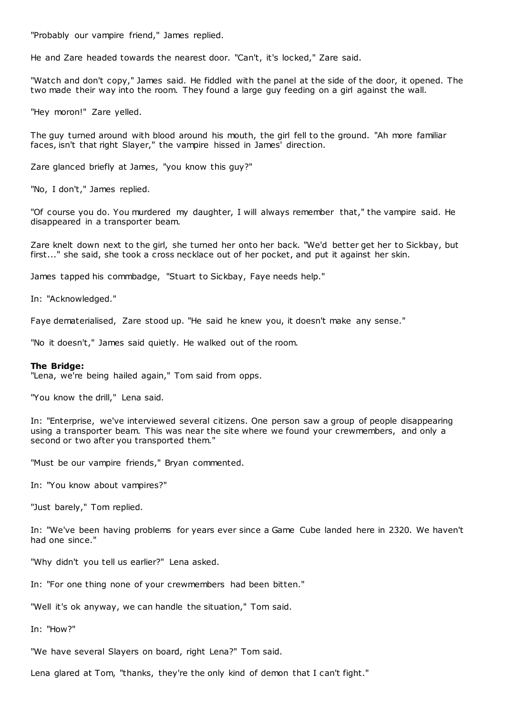"Probably our vampire friend," James replied.

He and Zare headed towards the nearest door. "Can't, it's locked," Zare said.

"Watch and don't copy," James said. He fiddled with the panel at the side of the door, it opened. The two made their way into the room. They found a large guy feeding on a girl against the wall.

"Hey moron!" Zare yelled.

The guy turned around with blood around his mouth, the girl fell to the ground. "Ah more familiar faces, isn't that right Slayer," the vampire hissed in James' direction.

Zare glanced briefly at James, "you know this guy?"

"No, I don't," James replied.

"Of course you do. You murdered my daughter, I will always remember that," the vampire said. He disappeared in a transporter beam.

Zare knelt down next to the girl, she turned her onto her back. "We'd better get her to Sickbay, but first..." she said, she took a cross necklace out of her pocket, and put it against her skin.

James tapped his commbadge, "Stuart to Sickbay, Faye needs help."

In: "Acknowledged."

Faye dematerialised, Zare stood up. "He said he knew you, it doesn't make any sense."

"No it doesn't," James said quietly. He walked out of the room.

#### **The Bridge:**

"Lena, we're being hailed again," Tom said from opps.

"You know the drill," Lena said.

In: "Enterprise, we've interviewed several citizens. One person saw a group of people disappearing using a transporter beam. This was near the site where we found your crewmembers, and only a second or two after you transported them."

"Must be our vampire friends," Bryan commented.

In: "You know about vampires?"

"Just barely," Tom replied.

In: "We've been having problems for years ever since a Game Cube landed here in 2320. We haven't had one since."

"Why didn't you tell us earlier?" Lena asked.

In: "For one thing none of your crewmembers had been bitten."

"Well it's ok anyway, we can handle the situation," Tom said.

In: "How?"

"We have several Slayers on board, right Lena?" Tom said.

Lena glared at Tom, "thanks, they're the only kind of demon that I can't fight."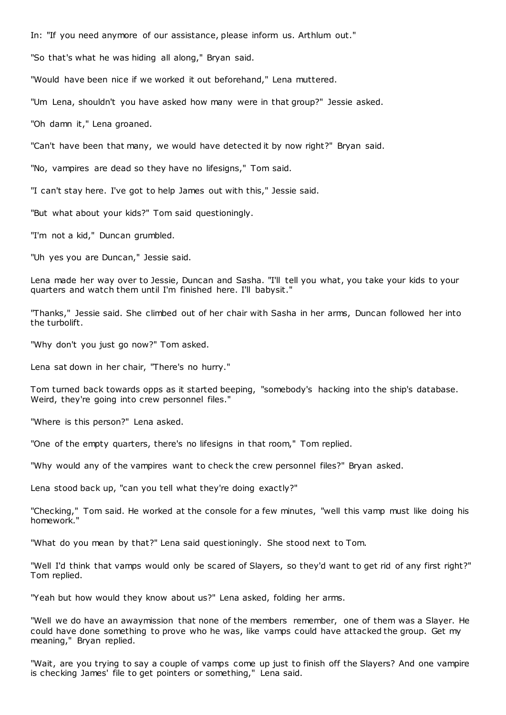In: "If you need anymore of our assistance, please inform us. Arthlum out."

"So that's what he was hiding all along," Bryan said.

"Would have been nice if we worked it out beforehand," Lena muttered.

"Um Lena, shouldn't you have asked how many were in that group?" Jessie asked.

"Oh damn it," Lena groaned.

"Can't have been that many, we would have detected it by now right?" Bryan said.

"No, vampires are dead so they have no lifesigns," Tom said.

"I can't stay here. I've got to help James out with this," Jessie said.

"But what about your kids?" Tom said questioningly.

"I'm not a kid," Duncan grumbled.

"Uh yes you are Duncan," Jessie said.

Lena made her way over to Jessie, Duncan and Sasha. "I'll tell you what, you take your kids to your quarters and watch them until I'm finished here. I'll babysit."

"Thanks," Jessie said. She climbed out of her chair with Sasha in her arms, Duncan followed her into the turbolift.

"Why don't you just go now?" Tom asked.

Lena sat down in her chair, "There's no hurry."

Tom turned back towards opps as it started beeping, "somebody's hacking into the ship's database. Weird, they're going into crew personnel files."

"Where is this person?" Lena asked.

"One of the empty quarters, there's no lifesigns in that room," Tom replied.

"Why would any of the vampires want to check the crew personnel files?" Bryan asked.

Lena stood back up, "can you tell what they're doing exactly?"

"Checking," Tom said. He worked at the console for a few minutes, "well this vamp must like doing his homework."

"What do you mean by that?" Lena said questioningly. She stood next to Tom.

"Well I'd think that vamps would only be scared of Slayers, so they'd want to get rid of any first right?" Tom replied.

"Yeah but how would they know about us?" Lena asked, folding her arms.

"Well we do have an awaymission that none of the members remember, one of them was a Slayer. He could have done something to prove who he was, like vamps could have attacked the group. Get my meaning," Bryan replied.

"Wait, are you trying to say a couple of vamps come up just to finish off the Slayers? And one vampire is checking James' file to get pointers or something," Lena said.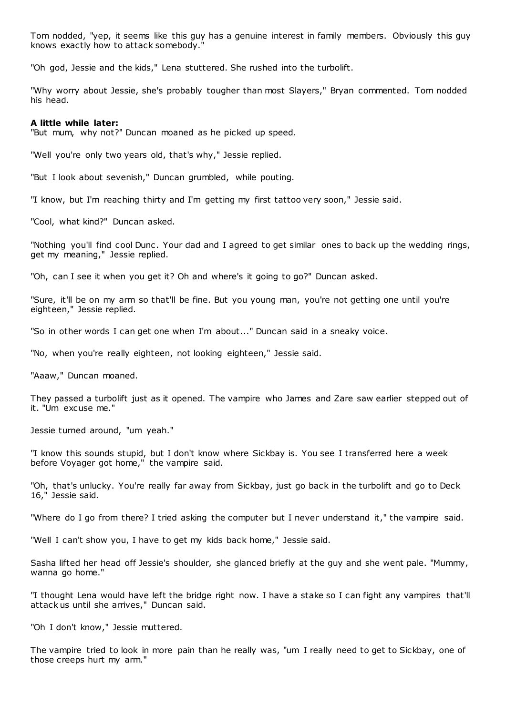Tom nodded, "yep, it seems like this guy has a genuine interest in family members. Obviously this guy knows exactly how to attack somebody."

"Oh god, Jessie and the kids," Lena stuttered. She rushed into the turbolift.

"Why worry about Jessie, she's probably tougher than most Slayers," Bryan commented. Tom nodded his head.

#### **A little while later:**

"But mum, why not?" Duncan moaned as he picked up speed.

"Well you're only two years old, that's why," Jessie replied.

"But I look about sevenish," Duncan grumbled, while pouting.

"I know, but I'm reaching thirty and I'm getting my first tattoo very soon," Jessie said.

"Cool, what kind?" Duncan asked.

"Nothing you'll find cool Dunc . Your dad and I agreed to get similar ones to back up the wedding rings, get my meaning," Jessie replied.

"Oh, can I see it when you get it? Oh and where's it going to go?" Duncan asked.

"Sure, it'll be on my arm so that'll be fine. But you young man, you're not getting one until you're eighteen," Jessie replied.

"So in other words I can get one when I'm about..." Duncan said in a sneaky voice.

"No, when you're really eighteen, not looking eighteen," Jessie said.

"Aaaw," Duncan moaned.

They passed a turbolift just as it opened. The vampire who James and Zare saw earlier stepped out of it. "Um excuse me."

Jessie turned around, "um yeah."

"I know this sounds stupid, but I don't know where Sickbay is. You see I transferred here a week before Voyager got home," the vampire said.

"Oh, that's unlucky. You're really far away from Sickbay, just go back in the turbolift and go to Deck 16," Jessie said.

"Where do I go from there? I tried asking the computer but I never understand it," the vampire said.

"Well I can't show you, I have to get my kids back home," Jessie said.

Sasha lifted her head off Jessie's shoulder, she glanced briefly at the guy and she went pale. "Mummy, wanna go home."

"I thought Lena would have left the bridge right now. I have a stake so I can fight any vampires that'll attack us until she arrives," Duncan said.

"Oh I don't know," Jessie muttered.

The vampire tried to look in more pain than he really was, "um I really need to get to Sickbay, one of those creeps hurt my arm."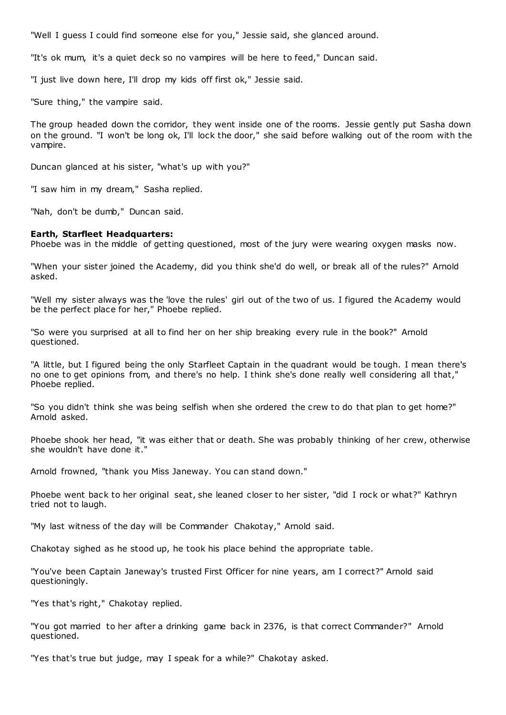"Well I guess I could find someone else for you," Jessie said, she glanced around.

"It's ok mum, it's a quiet deck so no vampires will be here to feed," Duncan said.

"I just live down here, I'll drop my kids off first ok," Jessie said.

"Sure thing," the vampire said.

The group headed down the corridor, they went inside one of the rooms. Jessie gently put Sasha down on the ground. "I won't be long ok, I'll lock the door," she said before walking out of the room with the vampire.

Duncan glanced at his sister, "what's up with you?"

"I saw him in my dream," Sasha replied.

"Nah, don't be dumb," Duncan said.

### **Earth, Starfleet Headquarters:**

Phoebe was in the middle of getting questioned, most of the jury were wearing oxygen masks now.

"When your sister joined the Academy, did you think she'd do well, or break all of the rules?" Arnold asked.

"Well my sister always was the 'love the rules' girl out of the two of us. I figured the Academy would be the perfect place for her," Phoebe replied.

"So were you surprised at all to find her on her ship breaking every rule in the book?" Arnold questioned.

"A little, but I figured being the only Starfleet Captain in the quadrant would be tough. I mean there's no one to get opinions from, and there's no help. I think she's done really well considering all that," Phoebe replied.

"So you didn't think she was being selfish when she ordered the crew to do that plan to get home?" Arnold asked.

Phoebe shook her head, "it was either that or death. She was probably thinking of her crew, otherwise she wouldn't have done it."

Arnold frowned, "thank you Miss Janeway. You can stand down."

Phoebe went back to her original seat, she leaned closer to her sister, "did I rock or what?" Kathryn tried not to laugh.

"My last witness of the day will be Commander Chakotay," Arnold said.

Chakotay sighed as he stood up, he took his place behind the appropriate table.

"You've been Captain Janeway's trusted First Officer for nine years, am I correct?" Arnold said questioningly.

"Yes that's right," Chakotay replied.

"You got married to her after a drinking game back in 2376, is that correct Commander?" Arnold questioned.

"Yes that's true but judge, may I speak for a while?" Chakotay asked.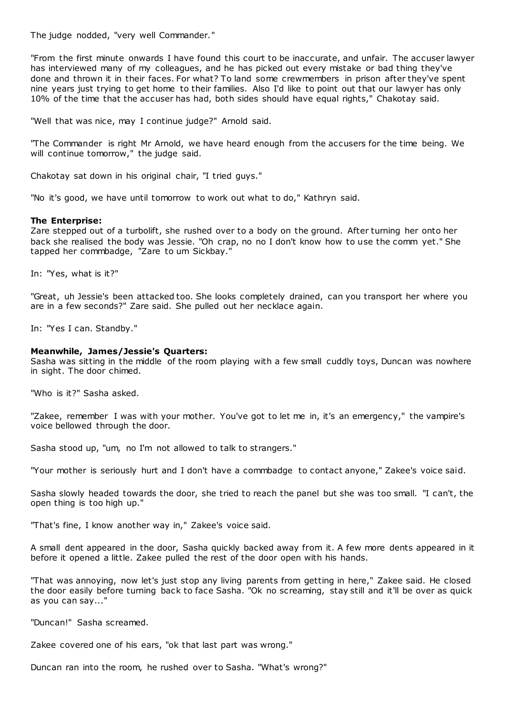The judge nodded, "very well Commander."

"From the first minute onwards I have found this court to be inaccurate, and unfair. The accuser lawyer has interviewed many of my colleagues, and he has picked out every mistake or bad thing they've done and thrown it in their faces. For what? To land some crewmembers in prison after they've spent nine years just trying to get home to their families. Also I'd like to point out that our lawyer has only 10% of the time that the accuser has had, both sides should have equal rights," Chakotay said.

"Well that was nice, may I continue judge?" Arnold said.

"The Commander is right Mr Arnold, we have heard enough from the accusers for the time being. We will continue tomorrow," the judge said.

Chakotay sat down in his original chair, "I tried guys."

"No it's good, we have until tomorrow to work out what to do," Kathryn said.

# **The Enterprise:**

Zare stepped out of a turbolift, she rushed over to a body on the ground. After turning her onto her back she realised the body was Jessie. "Oh crap, no no I don't know how to use the comm yet." She tapped her commbadge, "Zare to um Sickbay."

In: "Yes, what is it?"

"Great, uh Jessie's been attacked too. She looks completely drained, can you transport her where you are in a few seconds?" Zare said. She pulled out her necklace again.

In: "Yes I can. Standby."

# **Meanwhile, James/Jessie's Quarters:**

Sasha was sitting in the middle of the room playing with a few small cuddly toys, Duncan was nowhere in sight. The door chimed.

"Who is it?" Sasha asked.

"Zakee, remember I was with your mother. You've got to let me in, it's an emergency," the vampire's voice bellowed through the door.

Sasha stood up, "um, no I'm not allowed to talk to strangers."

"Your mother is seriously hurt and I don't have a commbadge to contact anyone," Zakee's voice said.

Sasha slowly headed towards the door, she tried to reach the panel but she was too small. "I can't, the open thing is too high up."

"That's fine, I know another way in," Zakee's voice said.

A small dent appeared in the door, Sasha quickly backed away from it. A few more dents appeared in it before it opened a little. Zakee pulled the rest of the door open with his hands.

"That was annoying, now let's just stop any living parents from getting in here," Zakee said. He closed the door easily before turning back to face Sasha. "Ok no screaming, stay still and it'll be over as quick as you can say..."

"Duncan!" Sasha screamed.

Zakee covered one of his ears, "ok that last part was wrong."

Duncan ran into the room, he rushed over to Sasha. "What's wrong?"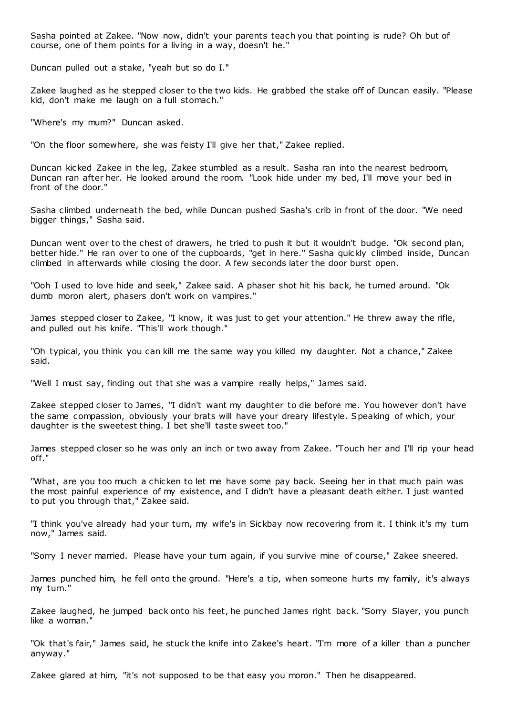Sasha pointed at Zakee. "Now now, didn't your parents teach you that pointing is rude? Oh but of course, one of them points for a living in a way, doesn't he."

Duncan pulled out a stake, "yeah but so do I."

Zakee laughed as he stepped closer to the two kids. He grabbed the stake off of Duncan easily. "Please kid, don't make me laugh on a full stomach."

"Where's my mum?" Duncan asked.

"On the floor somewhere, she was feisty I'll give her that," Zakee replied.

Duncan kicked Zakee in the leg, Zakee stumbled as a result. Sasha ran into the nearest bedroom, Duncan ran after her. He looked around the room. "Look hide under my bed, I'll move your bed in front of the door."

Sasha climbed underneath the bed, while Duncan pushed Sasha's crib in front of the door. "We need bigger things," Sasha said.

Duncan went over to the chest of drawers, he tried to push it but it wouldn't budge. "Ok second plan, better hide." He ran over to one of the cupboards, "get in here." Sasha quickly climbed inside, Duncan climbed in afterwards while closing the door. A few seconds later the door burst open.

"Ooh I used to love hide and seek," Zakee said. A phaser shot hit his back, he turned around. "Ok dumb moron alert, phasers don't work on vampires."

James stepped closer to Zakee, "I know, it was just to get your attention." He threw away the rifle, and pulled out his knife. "This'll work though."

"Oh typical, you think you can kill me the same way you killed my daughter. Not a chance," Zakee said.

"Well I must say, finding out that she was a vampire really helps," James said.

Zakee stepped closer to James, "I didn't want my daughter to die before me. You however don't have the same compassion, obviously your brats will have your dreary lifestyle. Speaking of which, your daughter is the sweetest thing. I bet she'll taste sweet too."

James stepped closer so he was only an inch or two away from Zakee. "Touch her and I'll rip your head off."

"What, are you too much a chicken to let me have some pay back. Seeing her in that much pain was the most painful experience of my existence, and I didn't have a pleasant death either. I just wanted to put you through that," Zakee said.

"I think you've already had your turn, my wife's in Sickbay now recovering from it. I think it's my turn now," James said.

"Sorry I never married. Please have your turn again, if you survive mine of course," Zakee sneered.

James punched him, he fell onto the ground. "Here's a tip, when someone hurts my family, it's always my turn."

Zakee laughed, he jumped back onto his feet, he punched James right back. "Sorry Slayer, you punch like a woman."

"Ok that's fair," James said, he stuck the knife into Zakee's heart. "I'm more of a killer than a puncher anyway."

Zakee glared at him, "it's not supposed to be that easy you moron." Then he disappeared.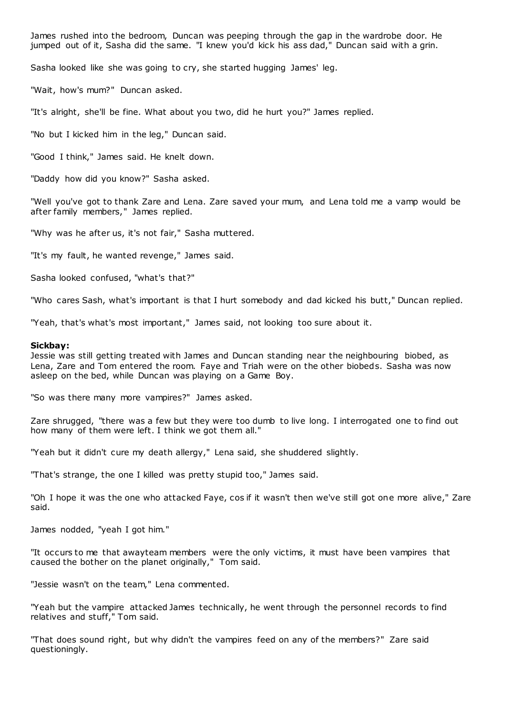James rushed into the bedroom, Duncan was peeping through the gap in the wardrobe door. He jumped out of it, Sasha did the same. "I knew you'd kick his ass dad," Duncan said with a grin.

Sasha looked like she was going to cry, she started hugging James' leg.

"Wait, how's mum?" Duncan asked.

"It's alright, she'll be fine. What about you two, did he hurt you?" James replied.

"No but I kicked him in the leg," Duncan said.

"Good I think," James said. He knelt down.

"Daddy how did you know?" Sasha asked.

"Well you've got to thank Zare and Lena. Zare saved your mum, and Lena told me a vamp would be after family members," James replied.

"Why was he after us, it's not fair," Sasha muttered.

"It's my fault, he wanted revenge," James said.

Sasha looked confused, "what's that?"

"Who cares Sash, what's important is that I hurt somebody and dad kicked his butt," Duncan replied.

"Yeah, that's what's most important," James said, not looking too sure about it.

#### **Sickbay:**

Jessie was still getting treated with James and Duncan standing near the neighbouring biobed, as Lena, Zare and Tom entered the room. Faye and Triah were on the other biobeds. Sasha was now asleep on the bed, while Duncan was playing on a Game Boy.

"So was there many more vampires?" James asked.

Zare shrugged, "there was a few but they were too dumb to live long. I interrogated one to find out how many of them were left. I think we got them all."

"Yeah but it didn't cure my death allergy," Lena said, she shuddered slightly.

"That's strange, the one I killed was pretty stupid too," James said.

"Oh I hope it was the one who attacked Faye, cos if it wasn't then we've still got one more alive," Zare said.

James nodded, "yeah I got him."

"It occurs to me that awayteam members were the only victims, it must have been vampires that caused the bother on the planet originally," Tom said.

"Jessie wasn't on the team," Lena commented.

"Yeah but the vampire attacked James technically, he went through the personnel records to find relatives and stuff," Tom said.

"That does sound right, but why didn't the vampires feed on any of the members?" Zare said questioningly.